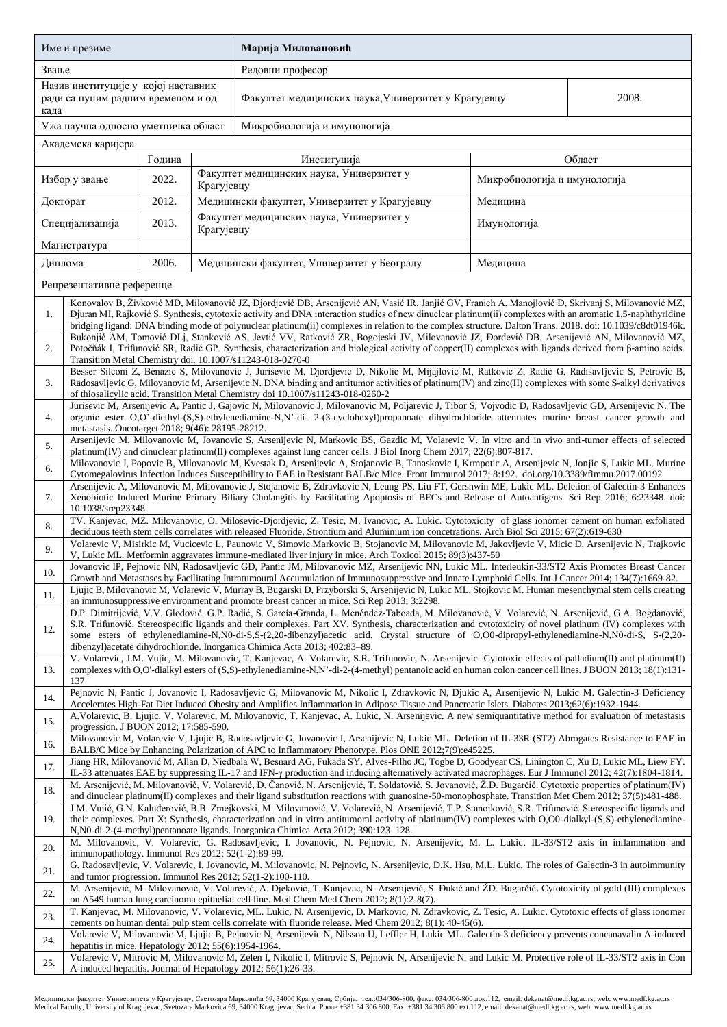| Име и презиме                                                                     |                                                                                                                                                                                                                                                                                                                                                                                                                                                                                                                                                 |        |            | Марија Миловановић                                                                                                                                                                                                                                                       |                              |  |  |  |  |
|-----------------------------------------------------------------------------------|-------------------------------------------------------------------------------------------------------------------------------------------------------------------------------------------------------------------------------------------------------------------------------------------------------------------------------------------------------------------------------------------------------------------------------------------------------------------------------------------------------------------------------------------------|--------|------------|--------------------------------------------------------------------------------------------------------------------------------------------------------------------------------------------------------------------------------------------------------------------------|------------------------------|--|--|--|--|
| Звање                                                                             |                                                                                                                                                                                                                                                                                                                                                                                                                                                                                                                                                 |        |            | Редовни професор                                                                                                                                                                                                                                                         |                              |  |  |  |  |
| Назив институције у којој наставник<br>ради са пуним радним временом и од<br>када |                                                                                                                                                                                                                                                                                                                                                                                                                                                                                                                                                 |        |            | Факултет медицинских наука, Универзитет у Крагујевцу                                                                                                                                                                                                                     | 2008.                        |  |  |  |  |
| Ужа научна односно уметничка област                                               |                                                                                                                                                                                                                                                                                                                                                                                                                                                                                                                                                 |        |            | Микробиологија и имунологија                                                                                                                                                                                                                                             |                              |  |  |  |  |
| Академска каријера                                                                |                                                                                                                                                                                                                                                                                                                                                                                                                                                                                                                                                 |        |            |                                                                                                                                                                                                                                                                          |                              |  |  |  |  |
|                                                                                   |                                                                                                                                                                                                                                                                                                                                                                                                                                                                                                                                                 | Година |            | Институција                                                                                                                                                                                                                                                              | Област                       |  |  |  |  |
| Избор у звање                                                                     |                                                                                                                                                                                                                                                                                                                                                                                                                                                                                                                                                 | 2022.  | Крагујевцу | Факултет медицинских наука, Универзитет у                                                                                                                                                                                                                                | Микробиологија и имунологија |  |  |  |  |
| Докторат                                                                          |                                                                                                                                                                                                                                                                                                                                                                                                                                                                                                                                                 | 2012.  |            | Медицински факултет, Универзитет у Крагујевцу                                                                                                                                                                                                                            | Медицина                     |  |  |  |  |
| Специјализација                                                                   |                                                                                                                                                                                                                                                                                                                                                                                                                                                                                                                                                 | 2013.  | Крагујевцу | Факултет медицинских наука, Универзитет у                                                                                                                                                                                                                                | Имунологија                  |  |  |  |  |
| Магистратура                                                                      |                                                                                                                                                                                                                                                                                                                                                                                                                                                                                                                                                 |        |            |                                                                                                                                                                                                                                                                          |                              |  |  |  |  |
| Диплома                                                                           |                                                                                                                                                                                                                                                                                                                                                                                                                                                                                                                                                 | 2006.  |            | Медицински факултет, Универзитет у Београду                                                                                                                                                                                                                              | Медицина                     |  |  |  |  |
| Репрезентативне референце                                                         |                                                                                                                                                                                                                                                                                                                                                                                                                                                                                                                                                 |        |            |                                                                                                                                                                                                                                                                          |                              |  |  |  |  |
| 1.                                                                                | Konovalov B, Živković MD, Milovanović JZ, Djordjević DB, Arsenijević AN, Vasić IR, Janjić GV, Franich A, Manojlović D, Skrivanj S, Milovanović MZ,<br>Djuran MI, Rajković S. Synthesis, cytotoxic activity and DNA interaction studies of new dinuclear platinum(ii) complexes with an aromatic 1,5-naphthyridine<br>bridging ligand: DNA binding mode of polynuclear platinum(ii) complexes in relation to the complex structure. Dalton Trans. 2018. doi: 10.1039/c8dt01946k.                                                                 |        |            |                                                                                                                                                                                                                                                                          |                              |  |  |  |  |
| 2.                                                                                | Bukonjić AM, Tomović DLj, Stanković AS, Jevtić VV, Ratković ZR, Bogojeski JV, Milovanović JZ, Đorđević DB, Arsenijević AN, Milovanović MZ,<br>Potočňák I, Trifunović SR, Radić GP. Synthesis, characterization and biological activity of copper(II) complexes with ligands derived from β-amino acids.<br>Transition Metal Chemistry doi. 10.1007/s11243-018-0270-0                                                                                                                                                                            |        |            |                                                                                                                                                                                                                                                                          |                              |  |  |  |  |
| 3.                                                                                | Besser Silconi Z, Benazic S, Milovanovic J, Jurisevic M, Djordjevic D, Nikolic M, Mijajlovic M, Ratkovic Z, Radić G, Radisavljevic S, Petrovic B,<br>Radosavljevic G, Milovanovic M, Arsenijevic N. DNA binding and antitumor activities of platinum(IV) and zinc(II) complexes with some S-alkyl derivatives<br>of thiosalicylic acid. Transition Metal Chemistry doi 10.1007/s11243-018-0260-2                                                                                                                                                |        |            |                                                                                                                                                                                                                                                                          |                              |  |  |  |  |
| 4.                                                                                | Jurisevic M, Arsenijevic A, Pantic J, Gajovic N, Milovanovic J, Milovanovic M, Poljarevic J, Tibor S, Vojvodic D, Radosavljevic GD, Arsenijevic N. The<br>organic ester O,O'-diethyl-(S,S)-ethylenediamine-N,N'-di- 2-(3-cyclohexyl)propanoate dihydrochloride attenuates murine breast cancer growth and<br>metastasis. Oncotarget 2018; 9(46): 28195-28212.                                                                                                                                                                                   |        |            |                                                                                                                                                                                                                                                                          |                              |  |  |  |  |
| 5.                                                                                |                                                                                                                                                                                                                                                                                                                                                                                                                                                                                                                                                 |        |            | Arsenijevic M, Milovanovic M, Jovanovic S, Arsenijevic N, Markovic BS, Gazdic M, Volarevic V. In vitro and in vivo anti-tumor effects of selected<br>platinum(IV) and dinuclear platinum(II) complexes against lung cancer cells. J Biol Inorg Chem 2017; 22(6):807-817. |                              |  |  |  |  |
| 6.                                                                                | Milovanovic J, Popovic B, Milovanovic M, Kvestak D, Arsenijevic A, Stojanovic B, Tanaskovic I, Krmpotic A, Arsenijevic N, Jonjic S, Lukic ML. Murine                                                                                                                                                                                                                                                                                                                                                                                            |        |            |                                                                                                                                                                                                                                                                          |                              |  |  |  |  |
| 7.                                                                                | Cytomegalovirus Infection Induces Susceptibility to EAE in Resistant BALB/c Mice. Front Immunol 2017; 8:192. doi.org/10.3389/fimmu.2017.00192<br>Arsenijevic A, Milovanovic M, Milovanovic J, Stojanovic B, Zdravkovic N, Leung PS, Liu FT, Gershwin ME, Lukic ML. Deletion of Galectin-3 Enhances<br>Xenobiotic Induced Murine Primary Biliary Cholangitis by Facilitating Apoptosis of BECs and Release of Autoantigens. Sci Rep 2016; 6:23348. doi:<br>10.1038/srep23348.                                                                    |        |            |                                                                                                                                                                                                                                                                          |                              |  |  |  |  |
| 8.                                                                                | TV. Kanjevac, MZ. Milovanovic, O. Milosevic-Djordjevic, Z. Tesic, M. Ivanovic, A. Lukic. Cytotoxicity of glass ionomer cement on human exfoliated                                                                                                                                                                                                                                                                                                                                                                                               |        |            |                                                                                                                                                                                                                                                                          |                              |  |  |  |  |
| 9.                                                                                | deciduous teeth stem cells correlates with released Fluoride, Strontium and Aluminium ion concetrations. Arch Biol Sci 2015; 67(2):619-630<br>Volarevic V, Misirkic M, Vucicevic L, Paunovic V, Simovic Markovic B, Stojanovic M, Milovanovic M, Jakovljevic V, Micic D, Arsenijevic N, Trajkovic<br>V, Lukic ML. Metformin aggravates immune-mediated liver injury in mice. Arch Toxicol 2015; 89(3):437-50                                                                                                                                    |        |            |                                                                                                                                                                                                                                                                          |                              |  |  |  |  |
| 10.                                                                               | Jovanovic IP, Pejnovic NN, Radosavljevic GD, Pantic JM, Milovanovic MZ, Arsenijevic NN, Lukic ML. Interleukin-33/ST2 Axis Promotes Breast Cancer                                                                                                                                                                                                                                                                                                                                                                                                |        |            |                                                                                                                                                                                                                                                                          |                              |  |  |  |  |
| 11.                                                                               | Growth and Metastases by Facilitating Intratumoural Accumulation of Immunosuppressive and Innate Lymphoid Cells. Int J Cancer 2014; 134(7):1669-82.<br>Ljujic B, Milovanovic M, Volarevic V, Murray B, Bugarski D, Przyborski S, Arsenijevic N, Lukic ML, Stojkovic M. Human mesenchymal stem cells creating<br>an immunosuppressive environment and promote breast cancer in mice. Sci Rep 2013; 3:2298.                                                                                                                                       |        |            |                                                                                                                                                                                                                                                                          |                              |  |  |  |  |
| 12.                                                                               | D.P. Dimitrijević, V.V. Glođović, G.P. Radić, S. García-Granda, L. Menéndez-Taboada, M. Milovanović, V. Volarević, N. Arsenijević, G.A. Bogdanović,<br>S.R. Trifunović. Stereospecific ligands and their complexes. Part XV. Synthesis, characterization and cytotoxicity of novel platinum (IV) complexes with<br>some esters of ethylenediamine-N,N0-di-S,S-(2,20-dibenzyl)acetic acid. Crystal structure of O,O0-dipropyl-ethylenediamine-N,N0-di-S, S-(2,20-<br>dibenzyl) acetate dihydrochloride. Inorganica Chimica Acta 2013; 402:83–89. |        |            |                                                                                                                                                                                                                                                                          |                              |  |  |  |  |
| 13.                                                                               | V. Volarevic, J.M. Vujic, M. Milovanovic, T. Kanjevac, A. Volarevic, S.R. Trifunovic, N. Arsenijevic. Cytotoxic effects of palladium(II) and platinum(II)<br>complexes with O,O'-dialkyl esters of (S,S)-ethylenediamine-N,N'-di-2-(4-methyl) pentanoic acid on human colon cancer cell lines. J BUON 2013; 18(1):131-<br>137                                                                                                                                                                                                                   |        |            |                                                                                                                                                                                                                                                                          |                              |  |  |  |  |
| 14.                                                                               | Pejnovic N, Pantic J, Jovanovic I, Radosavljevic G, Milovanovic M, Nikolic I, Zdravkovic N, Djukic A, Arsenijevic N, Lukic M. Galectin-3 Deficiency<br>Accelerates High-Fat Diet Induced Obesity and Amplifies Inflammation in Adipose Tissue and Pancreatic Islets. Diabetes 2013;62(6):1932-1944.                                                                                                                                                                                                                                             |        |            |                                                                                                                                                                                                                                                                          |                              |  |  |  |  |
| 15.                                                                               | A.Volarevic, B. Ljujic, V. Volarevic, M. Milovanovic, T. Kanjevac, A. Lukic, N. Arsenijevic. A new semiquantitative method for evaluation of metastasis<br>progression. J BUON 2012; 17:585-590.                                                                                                                                                                                                                                                                                                                                                |        |            |                                                                                                                                                                                                                                                                          |                              |  |  |  |  |
| 16.                                                                               | Milovanovic M, Volarevic V, Ljujic B, Radosavljevic G, Jovanovic I, Arsenijevic N, Lukic ML. Deletion of IL-33R (ST2) Abrogates Resistance to EAE in<br>BALB/C Mice by Enhancing Polarization of APC to Inflammatory Phenotype. Plos ONE 2012;7(9):e45225.                                                                                                                                                                                                                                                                                      |        |            |                                                                                                                                                                                                                                                                          |                              |  |  |  |  |
| 17.                                                                               | Jiang HR, Milovanović M, Allan D, Niedbala W, Besnard AG, Fukada SY, Alves-Filho JC, Togbe D, Goodyear CS, Linington C, Xu D, Lukic ML, Liew FY.<br>IL-33 attenuates EAE by suppressing IL-17 and IFN- $\gamma$ production and inducing alternatively activated macrophages. Eur J Immunol 2012; 42(7):1804-1814.                                                                                                                                                                                                                               |        |            |                                                                                                                                                                                                                                                                          |                              |  |  |  |  |
| 18.                                                                               | M. Arsenijević, M. Milovanović, V. Volarević, D. Čanović, N. Arsenijević, T. Soldatović, S. Jovanović, Ž.D. Bugarčić. Cytotoxic properties of platinum(IV)<br>and dinuclear platinum(II) complexes and their ligand substitution reactions with guanosine-50-monophosphate. Transition Met Chem 2012; 37(5):481-488.                                                                                                                                                                                                                            |        |            |                                                                                                                                                                                                                                                                          |                              |  |  |  |  |
| 19.                                                                               | J.M. Vujić, G.N. Kaluđerović, B.B. Zmejkovski, M. Milovanović, V. Volarević, N. Arsenijević, T.P. Stanojković, S.R. Trifunović. Stereospecific ligands and<br>their complexes. Part X: Synthesis, characterization and in vitro antitumoral activity of platinum(IV) complexes with O,O0-dialkyl-(S,S)-ethylenediamine-<br>N, N0-di-2-(4-methyl) pentanoate ligands. Inorganica Chimica Acta 2012; 390:123-128.                                                                                                                                 |        |            |                                                                                                                                                                                                                                                                          |                              |  |  |  |  |
| 20.                                                                               | M. Milovanovic, V. Volarevic, G. Radosavljevic, I. Jovanovic, N. Pejnovic, N. Arsenijevic, M. L. Lukic. IL-33/ST2 axis in inflammation and<br>immunopathology. Immunol Res 2012; 52(1-2):89-99.                                                                                                                                                                                                                                                                                                                                                 |        |            |                                                                                                                                                                                                                                                                          |                              |  |  |  |  |
| 21.                                                                               | G. Radosavljevic, V. Volarevic, I. Jovanovic, M. Milovanovic, N. Pejnovic, N. Arsenijevic, D.K. Hsu, M.L. Lukic. The roles of Galectin-3 in autoimmunity<br>and tumor progression. Immunol Res $2012$ ; $52(1-2)$ :100-110.                                                                                                                                                                                                                                                                                                                     |        |            |                                                                                                                                                                                                                                                                          |                              |  |  |  |  |
| 22.                                                                               | M. Arsenijević, M. Milovanović, V. Volarević, A. Djeković, T. Kanjevac, N. Arsenijević, S. Đukić and ŽD. Bugarčić. Cytotoxicity of gold (III) complexes<br>on A549 human lung carcinoma epithelial cell line. Med Chem Med Chem 2012; 8(1):2-8(7).                                                                                                                                                                                                                                                                                              |        |            |                                                                                                                                                                                                                                                                          |                              |  |  |  |  |
| 23.                                                                               | T. Kanjevac, M. Milovanovic, V. Volarevic, ML. Lukic, N. Arsenijevic, D. Markovic, N. Zdravkovic, Z. Tesic, A. Lukic. Cytotoxic effects of glass ionomer<br>cements on human dental pulp stem cells correlate with fluoride release. Med Chem 2012; 8(1): 40-45(6).                                                                                                                                                                                                                                                                             |        |            |                                                                                                                                                                                                                                                                          |                              |  |  |  |  |
| 24.                                                                               | Volarevic V, Milovanovic M, Ljujic B, Pejnovic N, Arsenijevic N, Nilsson U, Leffler H, Lukic ML. Galectin-3 deficiency prevents concanavalin A-induced<br>hepatitis in mice. Hepatology $2012$ ; $55(6)$ : 1954-1964.                                                                                                                                                                                                                                                                                                                           |        |            |                                                                                                                                                                                                                                                                          |                              |  |  |  |  |
| 25.                                                                               | Volarevic V, Mitrovic M, Milovanovic M, Zelen I, Nikolic I, Mitrovic S, Pejnovic N, Arsenijevic N. and Lukic M. Protective role of IL-33/ST2 axis in Con<br>A-induced hepatitis. Journal of Hepatology 2012; 56(1):26-33.                                                                                                                                                                                                                                                                                                                       |        |            |                                                                                                                                                                                                                                                                          |                              |  |  |  |  |